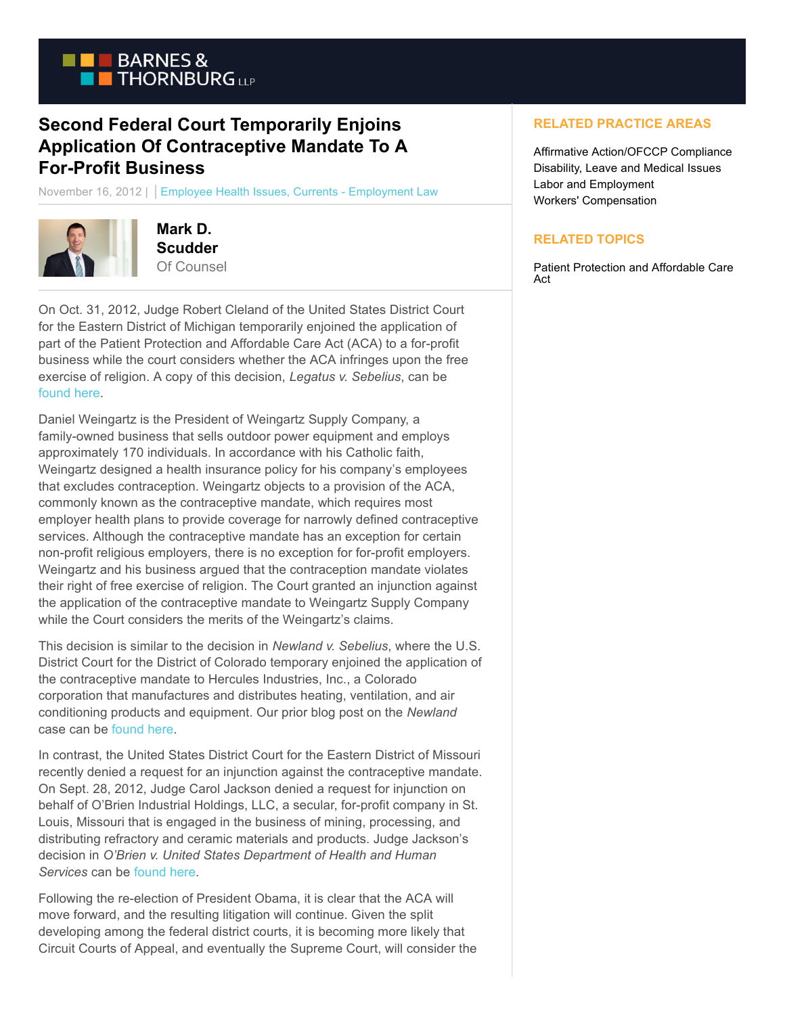

## **Second Federal Court Temporarily Enjoins Application Of Contraceptive Mandate To A For-Profit Business**

November 16, 2012 | Employee Health Issues, Currents - Employment Law



**Mark D. Scudder** Of Counsel

On Oct. 31, 2012, Judge Robert Cleland of the United States District Court for the Eastern District of Michigan temporarily enjoined the application of part of the Patient Protection and Affordable Care Act (ACA) to a for-profit business while the court considers whether the ACA infringes upon the free exercise of religion. A copy of this decision, *Legatus v. Sebelius*, can be [found here.](http://www.becketfund.org/wp-content/uploads/2012/05/Legatus-v-Sebelius-PI-Order-10-31-12.pdf)

Daniel Weingartz is the President of Weingartz Supply Company, a family-owned business that sells outdoor power equipment and employs approximately 170 individuals. In accordance with his Catholic faith, Weingartz designed a health insurance policy for his company's employees that excludes contraception. Weingartz objects to a provision of the ACA, commonly known as the contraceptive mandate, which requires most employer health plans to provide coverage for narrowly defined contraceptive services. Although the contraceptive mandate has an exception for certain non-profit religious employers, there is no exception for for-profit employers. Weingartz and his business argued that the contraception mandate violates their right of free exercise of religion. The Court granted an injunction against the application of the contraceptive mandate to Weingartz Supply Company while the Court considers the merits of the Weingartz's claims.

This decision is similar to the decision in *Newland v. Sebelius*, where the U.S. District Court for the District of Colorado temporary enjoined the application of the contraceptive mandate to Hercules Industries, Inc., a Colorado corporation that manufactures and distributes heating, ventilation, and air conditioning products and equipment. Our prior blog post on the *Newland* case can b[e found here.](https://www.btcurrentsemployment.com/blog.aspx?entry=410&fromSearch=true)

In contrast, the United States District Court for the Eastern District of Missouri recently denied a request for an injunction against the contraceptive mandate. On Sept. 28, 2012, Judge Carol Jackson denied a request for injunction on behalf of O'Brien Industrial Holdings, LLC, a secular, for-profit company in St. Louis, Missouri that is engaged in the business of mining, processing, and distributing refractory and ceramic materials and products. Judge Jackson's decision in *O'Brien v. United States Department of Health and Human Services* can be [found here.](http://docs.justia.com/cases/federal/district-courts/missouri/moedce/4:2012cv00476/119215/50/0.pdf)

Following the re-election of President Obama, it is clear that the ACA will move forward, and the resulting litigation will continue. Given the split developing among the federal district courts, it is becoming more likely that Circuit Courts of Appeal, and eventually the Supreme Court, will consider the

## **RELATED PRACTICE AREAS**

Affirmative Action/OFCCP Compliance Disability, Leave and Medical Issues Labor and Employment Workers' Compensation

## **RELATED TOPICS**

Patient Protection and Affordable Care Act